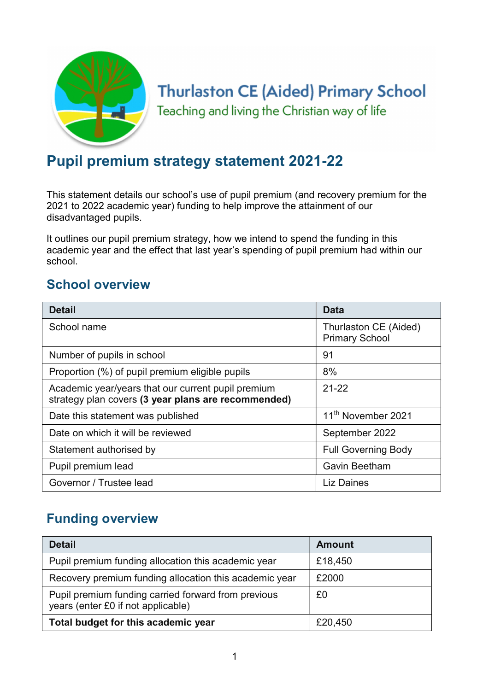

# **Thurlaston CE (Aided) Primary School**

Teaching and living the Christian way of life

# Pupil premium strategy statement 2021-22

This statement details our school's use of pupil premium (and recovery premium for the 2021 to 2022 academic year) funding to help improve the attainment of our disadvantaged pupils.

It outlines our pupil premium strategy, how we intend to spend the funding in this academic year and the effect that last year's spending of pupil premium had within our school.

# School overview

| <b>Detail</b>                                                                                             | <b>Data</b>                                    |
|-----------------------------------------------------------------------------------------------------------|------------------------------------------------|
| School name                                                                                               | Thurlaston CE (Aided)<br><b>Primary School</b> |
| Number of pupils in school                                                                                | 91                                             |
| Proportion (%) of pupil premium eligible pupils                                                           | 8%                                             |
| Academic year/years that our current pupil premium<br>strategy plan covers (3 year plans are recommended) | $21 - 22$                                      |
| Date this statement was published                                                                         | 11 <sup>th</sup> November 2021                 |
| Date on which it will be reviewed                                                                         | September 2022                                 |
| Statement authorised by                                                                                   | <b>Full Governing Body</b>                     |
| Pupil premium lead                                                                                        | <b>Gavin Beetham</b>                           |
| Governor / Trustee lead                                                                                   | <b>Liz Daines</b>                              |

## Funding overview

| <b>Detail</b>                                                                             | <b>Amount</b> |
|-------------------------------------------------------------------------------------------|---------------|
| Pupil premium funding allocation this academic year                                       | £18,450       |
| Recovery premium funding allocation this academic year                                    | £2000         |
| Pupil premium funding carried forward from previous<br>years (enter £0 if not applicable) | £0            |
| Total budget for this academic year                                                       | £20,450       |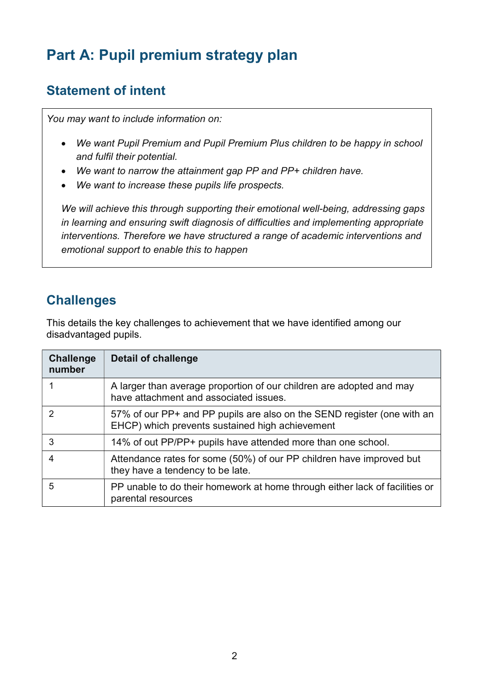# Part A: Pupil premium strategy plan

# Statement of intent

You may want to include information on:

- We want Pupil Premium and Pupil Premium Plus children to be happy in school and fulfil their potential.
- We want to narrow the attainment gap PP and PP+ children have.
- We want to increase these pupils life prospects.

We will achieve this through supporting their emotional well-being, addressing gaps in learning and ensuring swift diagnosis of difficulties and implementing appropriate interventions. Therefore we have structured a range of academic interventions and emotional support to enable this to happen

## **Challenges**

This details the key challenges to achievement that we have identified among our disadvantaged pupils.

| <b>Challenge</b><br>number | Detail of challenge                                                                                                        |
|----------------------------|----------------------------------------------------------------------------------------------------------------------------|
|                            | A larger than average proportion of our children are adopted and may<br>have attachment and associated issues.             |
| $\mathcal{P}$              | 57% of our PP+ and PP pupils are also on the SEND register (one with an<br>EHCP) which prevents sustained high achievement |
| 3                          | 14% of out PP/PP+ pupils have attended more than one school.                                                               |
| 4                          | Attendance rates for some (50%) of our PP children have improved but<br>they have a tendency to be late.                   |
| 5                          | PP unable to do their homework at home through either lack of facilities or<br>parental resources                          |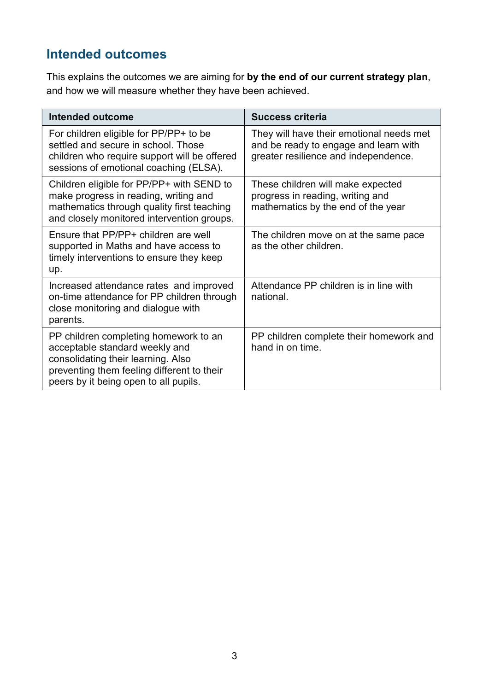# Intended outcomes

This explains the outcomes we are aiming for by the end of our current strategy plan, and how we will measure whether they have been achieved.

| <b>Intended outcome</b>                                                                                                                                                                              | <b>Success criteria</b>                                                                                                   |
|------------------------------------------------------------------------------------------------------------------------------------------------------------------------------------------------------|---------------------------------------------------------------------------------------------------------------------------|
| For children eligible for PP/PP+ to be<br>settled and secure in school. Those<br>children who require support will be offered<br>sessions of emotional coaching (ELSA).                              | They will have their emotional needs met<br>and be ready to engage and learn with<br>greater resilience and independence. |
| Children eligible for PP/PP+ with SEND to<br>make progress in reading, writing and<br>mathematics through quality first teaching<br>and closely monitored intervention groups.                       | These children will make expected<br>progress in reading, writing and<br>mathematics by the end of the year               |
| Ensure that PP/PP+ children are well<br>supported in Maths and have access to<br>timely interventions to ensure they keep<br>up.                                                                     | The children move on at the same pace<br>as the other children.                                                           |
| Increased attendance rates and improved<br>on-time attendance for PP children through<br>close monitoring and dialogue with<br>parents.                                                              | Attendance PP children is in line with<br>national.                                                                       |
| PP children completing homework to an<br>acceptable standard weekly and<br>consolidating their learning. Also<br>preventing them feeling different to their<br>peers by it being open to all pupils. | PP children complete their homework and<br>hand in on time.                                                               |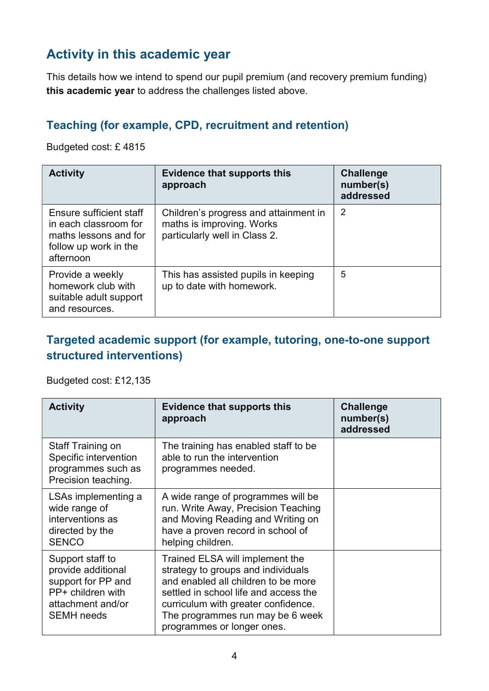# Activity in this academic year

This details how we intend to spend our pupil premium (and recovery premium funding) this academic year to address the challenges listed above.

#### Teaching (for example, CPD, recruitment and retention)

Budgeted cost: £ 4815

| <b>Activity</b>                                                                                                 | <b>Evidence that supports this</b><br>approach                                                      | <b>Challenge</b><br>number(s)<br>addressed |
|-----------------------------------------------------------------------------------------------------------------|-----------------------------------------------------------------------------------------------------|--------------------------------------------|
| Ensure sufficient staff<br>in each classroom for<br>maths lessons and for<br>follow up work in the<br>afternoon | Children's progress and attainment in<br>maths is improving. Works<br>particularly well in Class 2. | 2                                          |
| Provide a weekly<br>homework club with<br>suitable adult support<br>and resources.                              | This has assisted pupils in keeping<br>up to date with homework.                                    | 5                                          |

#### Targeted academic support (for example, tutoring, one-to-one support structured interventions)

Budgeted cost: £12,135

| <b>Activity</b>                                                                                                             | <b>Evidence that supports this</b><br>approach                                                                                                                                                                                                                 | <b>Challenge</b><br>number(s)<br>addressed |
|-----------------------------------------------------------------------------------------------------------------------------|----------------------------------------------------------------------------------------------------------------------------------------------------------------------------------------------------------------------------------------------------------------|--------------------------------------------|
| Staff Training on<br>Specific intervention<br>programmes such as<br>Precision teaching.                                     | The training has enabled staff to be<br>able to run the intervention<br>programmes needed.                                                                                                                                                                     |                                            |
| LSAs implementing a<br>wide range of<br>interventions as<br>directed by the<br><b>SENCO</b>                                 | A wide range of programmes will be<br>run. Write Away, Precision Teaching<br>and Moving Reading and Writing on<br>have a proven record in school of<br>helping children.                                                                                       |                                            |
| Support staff to<br>provide additional<br>support for PP and<br>PP+ children with<br>attachment and/or<br><b>SEMH</b> needs | Trained ELSA will implement the<br>strategy to groups and individuals<br>and enabled all children to be more<br>settled in school life and access the<br>curriculum with greater confidence.<br>The programmes run may be 6 week<br>programmes or longer ones. |                                            |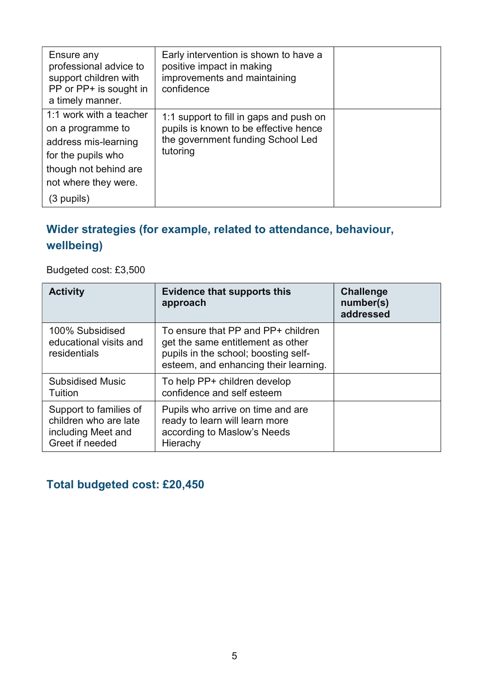| Ensure any<br>professional advice to<br>support children with<br>PP or PP+ is sought in<br>a timely manner.                                 | Early intervention is shown to have a<br>positive impact in making<br>improvements and maintaining<br>confidence                  |  |
|---------------------------------------------------------------------------------------------------------------------------------------------|-----------------------------------------------------------------------------------------------------------------------------------|--|
| 1:1 work with a teacher<br>on a programme to<br>address mis-learning<br>for the pupils who<br>though not behind are<br>not where they were. | 1:1 support to fill in gaps and push on<br>pupils is known to be effective hence<br>the government funding School Led<br>tutoring |  |
| (3 pupils)                                                                                                                                  |                                                                                                                                   |  |

## Wider strategies (for example, related to attendance, behaviour, wellbeing)

Budgeted cost: £3,500

| <b>Activity</b>                                                                          | <b>Evidence that supports this</b><br>approach                                                                                                           | <b>Challenge</b><br>number(s)<br>addressed |
|------------------------------------------------------------------------------------------|----------------------------------------------------------------------------------------------------------------------------------------------------------|--------------------------------------------|
| 100% Subsidised<br>educational visits and<br>residentials                                | To ensure that PP and PP+ children<br>get the same entitlement as other<br>pupils in the school; boosting self-<br>esteem, and enhancing their learning. |                                            |
| <b>Subsidised Music</b><br>Tuition                                                       | To help PP+ children develop<br>confidence and self esteem                                                                                               |                                            |
| Support to families of<br>children who are late<br>including Meet and<br>Greet if needed | Pupils who arrive on time and are<br>ready to learn will learn more<br>according to Maslow's Needs<br>Hierachy                                           |                                            |

Total budgeted cost: £20,450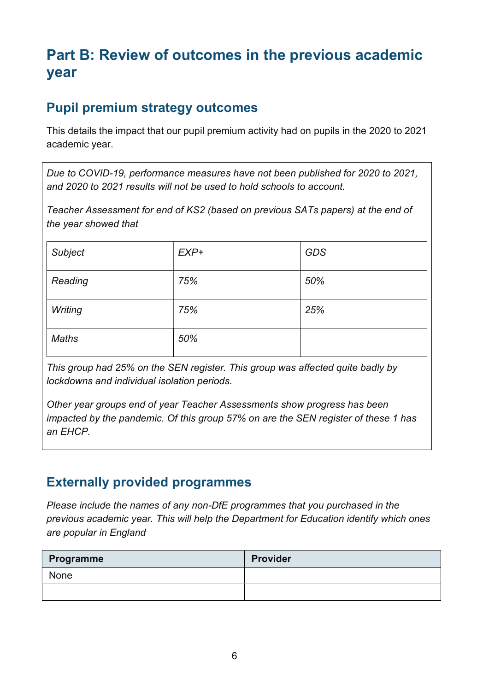# Part B: Review of outcomes in the previous academic year

# Pupil premium strategy outcomes

This details the impact that our pupil premium activity had on pupils in the 2020 to 2021 academic year.

Due to COVID-19, performance measures have not been published for 2020 to 2021, and 2020 to 2021 results will not be used to hold schools to account.

Teacher Assessment for end of KS2 (based on previous SATs papers) at the end of the year showed that

| Subject      | $EXP+$ | <b>GDS</b> |
|--------------|--------|------------|
| Reading      | 75%    | 50%        |
| Writing      | 75%    | 25%        |
| <b>Maths</b> | 50%    |            |

This group had 25% on the SEN register. This group was affected quite badly by lockdowns and individual isolation periods.

Other year groups end of year Teacher Assessments show progress has been impacted by the pandemic. Of this group 57% on are the SEN register of these 1 has an EHCP.

## Externally provided programmes

Please include the names of any non-DfE programmes that you purchased in the previous academic year. This will help the Department for Education identify which ones are popular in England

| <b>Programme</b> | <b>Provider</b> |
|------------------|-----------------|
| None             |                 |
|                  |                 |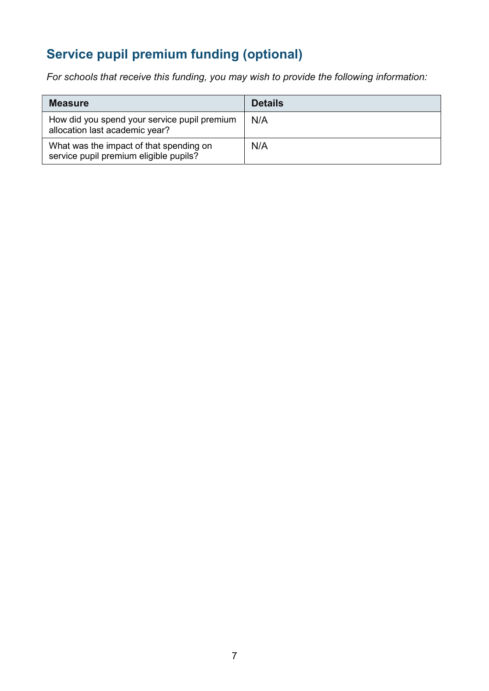# Service pupil premium funding (optional)

For schools that receive this funding, you may wish to provide the following information:

| <b>Measure</b>                                                                    | <b>Details</b> |
|-----------------------------------------------------------------------------------|----------------|
| How did you spend your service pupil premium<br>allocation last academic year?    | N/A            |
| What was the impact of that spending on<br>service pupil premium eligible pupils? | N/A            |